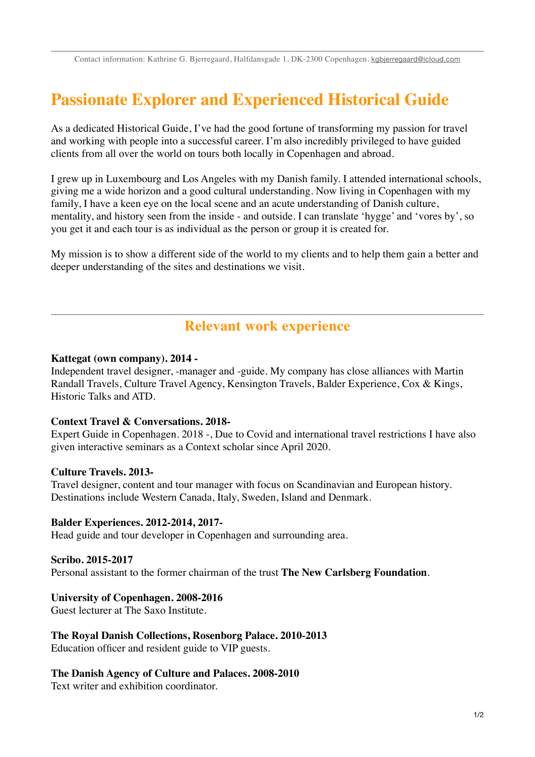Contact information: Kathrine G. Bjerregaard, Halfdansgade 1, DK-2300 Copenhagen. [kgbjerregaard@icloud.com](mailto:kgbjerregaard@icloud.com)

# **Passionate Explorer and Experienced Historical Guide**

As a dedicated Historical Guide, I've had the good fortune of transforming my passion for travel and working with people into a successful career. I'm also incredibly privileged to have guided clients from all over the world on tours both locally in Copenhagen and abroad.

I grew up in Luxembourg and Los Angeles with my Danish family. I attended international schools, giving me a wide horizon and a good cultural understanding. Now living in Copenhagen with my family, I have a keen eye on the local scene and an acute understanding of Danish culture, mentality, and history seen from the inside - and outside. I can translate 'hygge' and 'vores by', so you get it and each tour is as individual as the person or group it is created for.

My mission is to show a different side of the world to my clients and to help them gain a better and deeper understanding of the sites and destinations we visit.

## **Relevant work experience**

#### **Kattegat (own company). 2014 -**

Independent travel designer, -manager and -guide. My company has close alliances with Martin Randall Travels, Culture Travel Agency, Kensington Travels, Balder Experience, Cox & Kings, Historic Talks and ATD.

#### **Context Travel & Conversations. 2018-**

Expert Guide in Copenhagen. 2018 -, Due to Covid and international travel restrictions I have also given interactive seminars as a Context scholar since April 2020.

#### **Culture Travels. 2013-**

Travel designer, content and tour manager with focus on Scandinavian and European history. Destinations include Western Canada, Italy, Sweden, Island and Denmark.

#### **Balder Experiences. 2012-2014, 2017-**

Head guide and tour developer in Copenhagen and surrounding area.

#### **Scribo. 2015-2017**

Personal assistant to the former chairman of the trust **The New Carlsberg Foundation**.

#### **University of Copenhagen. 2008-2016**

Guest lecturer at The Saxo Institute.

#### **The Royal Danish Collections, Rosenborg Palace. 2010-2013**

Education officer and resident guide to VIP guests.

#### **The Danish Agency of Culture and Palaces. 2008-2010**

Text writer and exhibition coordinator.